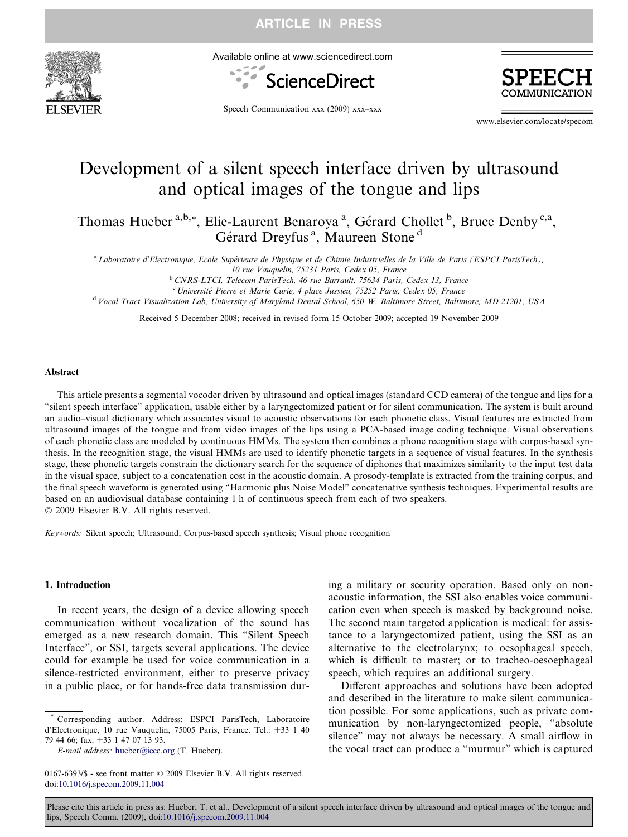

Available online at www.sciencedirect.com



Speech Communication xxx (2009) xxx–xxx

www.elsevier.com/locate/specom

# Development of a silent speech interface driven by ultrasound and optical images of the tongue and lips

Thomas Hueber<sup>a,b,\*</sup>, Elie-Laurent Benaroya<sup>a</sup>, Gérard Chollet<sup>b</sup>, Bruce Denby<sup>c,a</sup>, Gérard Dreyfus<sup>a</sup>, Maureen Stone<sup>d</sup>

<sup>a</sup> Laboratoire d'Electronique, Ecole Supérieure de Physique et de Chimie Industrielles de la Ville de Paris (ESPCI ParisTech),

10 rue Vauquelin, 75231 Paris, Cedex 05, France

<sup>b</sup> CNRS-LTCI, Telecom ParisTech, 46 rue Barrault, 75634 Paris, Cedex 13, France

<sup>c</sup> Université Pierre et Marie Curie, 4 place Jussieu, 75252 Paris, Cedex 05, France

<sup>d</sup> Vocal Tract Visualization Lab, University of Maryland Dental School, 650 W. Baltimore Street, Baltimore, MD 21201, USA

Received 5 December 2008; received in revised form 15 October 2009; accepted 19 November 2009

### Abstract

This article presents a segmental vocoder driven by ultrasound and optical images (standard CCD camera) of the tongue and lips for a "silent speech interface" application, usable either by a laryngectomized patient or for silent communication. The system is built around an audio–visual dictionary which associates visual to acoustic observations for each phonetic class. Visual features are extracted from ultrasound images of the tongue and from video images of the lips using a PCA-based image coding technique. Visual observations of each phonetic class are modeled by continuous HMMs. The system then combines a phone recognition stage with corpus-based synthesis. In the recognition stage, the visual HMMs are used to identify phonetic targets in a sequence of visual features. In the synthesis stage, these phonetic targets constrain the dictionary search for the sequence of diphones that maximizes similarity to the input test data in the visual space, subject to a concatenation cost in the acoustic domain. A prosody-template is extracted from the training corpus, and the final speech waveform is generated using "Harmonic plus Noise Model" concatenative synthesis techniques. Experimental results are based on an audiovisual database containing 1 h of continuous speech from each of two speakers. © 2009 Elsevier B.V. All rights reserved.

Keywords: Silent speech; Ultrasound; Corpus-based speech synthesis; Visual phone recognition

### 1. Introduction

In recent years, the design of a device allowing speech communication without vocalization of the sound has emerged as a new research domain. This "Silent Speech Interface", or SSI, targets several applications. The device could for example be used for voice communication in a silence-restricted environment, either to preserve privacy in a public place, or for hands-free data transmission during a military or security operation. Based only on nonacoustic information, the SSI also enables voice communication even when speech is masked by background noise. The second main targeted application is medical: for assistance to a laryngectomized patient, using the SSI as an alternative to the electrolarynx; to oesophageal speech, which is difficult to master; or to tracheo-oesoephageal speech, which requires an additional surgery.

Different approaches and solutions have been adopted and described in the literature to make silent communication possible. For some applications, such as private communication by non-laryngectomized people, "absolute silence" may not always be necessary. A small airflow in the vocal tract can produce a "murmur" which is captured

Corresponding author. Address: ESPCI ParisTech, Laboratoire d'Electronique, 10 rue Vauquelin, 75005 Paris, France. Tel.: +33 1 40 79 44 66; fax: +33 1 47 07 13 93.

E-mail address: [hueber@ieee.org](mailto:hueber@ieee.org) (T. Hueber).

<sup>0167-6393/\$ -</sup> see front matter © 2009 Elsevier B.V. All rights reserved. doi:[10.1016/j.specom.2009.11.004](http://dx.doi.org/10.1016/j.specom.2009.11.004)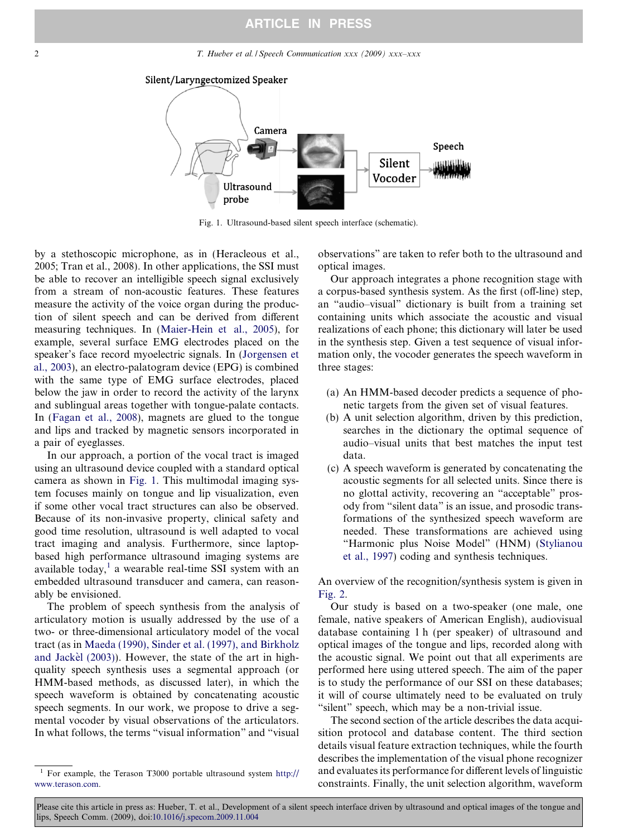2 T. Hueber et al. / Speech Communication xxx (2009) xxx-xxx



Fig. 1. Ultrasound-based silent speech interface (schematic).

by a stethoscopic microphone, as in (Heracleous et al., 2005; Tran et al., 2008). In other applications, the SSI must be able to recover an intelligible speech signal exclusively from a stream of non-acoustic features. These features measure the activity of the voice organ during the production of silent speech and can be derived from different measuring techniques. In [\(Maier-Hein et al., 2005\)](#page-12-0), for example, several surface EMG electrodes placed on the speaker's face record myoelectric signals. In [\(Jorgensen et](#page-12-0) [al., 2003\)](#page-12-0), an electro-palatogram device (EPG) is combined with the same type of EMG surface electrodes, placed below the jaw in order to record the activity of the larynx and sublingual areas together with tongue-palate contacts. In [\(Fagan et al., 2008](#page-12-0)), magnets are glued to the tongue and lips and tracked by magnetic sensors incorporated in a pair of eyeglasses.

In our approach, a portion of the vocal tract is imaged using an ultrasound device coupled with a standard optical camera as shown in Fig. 1. This multimodal imaging system focuses mainly on tongue and lip visualization, even if some other vocal tract structures can also be observed. Because of its non-invasive property, clinical safety and good time resolution, ultrasound is well adapted to vocal tract imaging and analysis. Furthermore, since laptopbased high performance ultrasound imaging systems are available today,<sup>1</sup> a wearable real-time SSI system with an embedded ultrasound transducer and camera, can reasonably be envisioned.

The problem of speech synthesis from the analysis of articulatory motion is usually addressed by the use of a two- or three-dimensional articulatory model of the vocal tract (as in [Maeda \(1990\), Sinder et al. \(1997\), and Birkholz](#page-12-0) and Jackèl (2003)). However, the state of the art in highquality speech synthesis uses a segmental approach (or HMM-based methods, as discussed later), in which the speech waveform is obtained by concatenating acoustic speech segments. In our work, we propose to drive a segmental vocoder by visual observations of the articulators. In what follows, the terms "visual information" and "visual

observations" are taken to refer both to the ultrasound and optical images.

Our approach integrates a phone recognition stage with a corpus-based synthesis system. As the first (off-line) step, an "audio–visual" dictionary is built from a training set containing units which associate the acoustic and visual realizations of each phone; this dictionary will later be used in the synthesis step. Given a test sequence of visual information only, the vocoder generates the speech waveform in three stages:

- (a) An HMM-based decoder predicts a sequence of phonetic targets from the given set of visual features.
- (b) A unit selection algorithm, driven by this prediction, searches in the dictionary the optimal sequence of audio–visual units that best matches the input test data.
- (c) A speech waveform is generated by concatenating the acoustic segments for all selected units. Since there is no glottal activity, recovering an "acceptable" prosody from "silent data" is an issue, and prosodic transformations of the synthesized speech waveform are needed. These transformations are achieved using "Harmonic plus Noise Model" (HNM) ([Stylianou](#page-12-0) [et al., 1997](#page-12-0)) coding and synthesis techniques.

An overview of the recognition/synthesis system is given in [Fig. 2](#page-2-0).

Our study is based on a two-speaker (one male, one female, native speakers of American English), audiovisual database containing 1 h (per speaker) of ultrasound and optical images of the tongue and lips, recorded along with the acoustic signal. We point out that all experiments are performed here using uttered speech. The aim of the paper is to study the performance of our SSI on these databases; it will of course ultimately need to be evaluated on truly "silent" speech, which may be a non-trivial issue.

The second section of the article describes the data acquisition protocol and database content. The third section details visual feature extraction techniques, while the fourth describes the implementation of the visual phone recognizer and evaluates its performance for different levels of linguistic constraints. Finally, the unit selection algorithm, waveform

<sup>1</sup> For example, the Terason T3000 portable ultrasound system [http://](http://www.terason.com) [www.terason.com.](http://www.terason.com)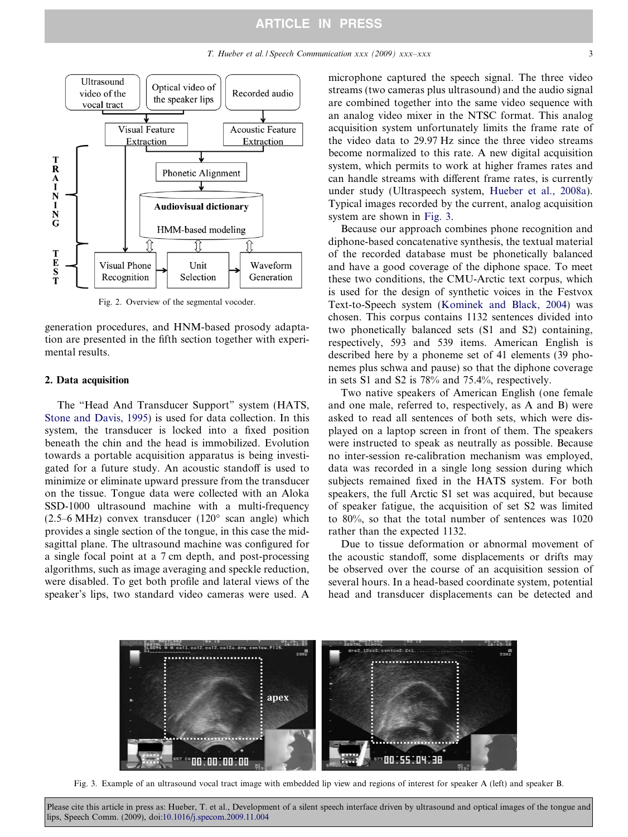# ARTICLE IN PRESS

<span id="page-2-0"></span>

Fig. 2. Overview of the segmental vocoder.

generation procedures, and HNM-based prosody adaptation are presented in the fifth section together with experimental results.

# 2. Data acquisition

The "Head And Transducer Support" system (HATS, [Stone and Davis, 1995](#page-12-0)) is used for data collection. In this system, the transducer is locked into a fixed position beneath the chin and the head is immobilized. Evolution towards a portable acquisition apparatus is being investigated for a future study. An acoustic standoff is used to minimize or eliminate upward pressure from the transducer on the tissue. Tongue data were collected with an Aloka SSD-1000 ultrasound machine with a multi-frequency  $(2.5-6 \text{ MHz})$  convex transducer  $(120^{\circ} \text{ scan angle})$  which provides a single section of the tongue, in this case the midsagittal plane. The ultrasound machine was configured for a single focal point at a 7 cm depth, and post-processing algorithms, such as image averaging and speckle reduction, were disabled. To get both profile and lateral views of the speaker's lips, two standard video cameras were used. A microphone captured the speech signal. The three video streams (two cameras plus ultrasound) and the audio signal are combined together into the same video sequence with an analog video mixer in the NTSC format. This analog acquisition system unfortunately limits the frame rate of the video data to 29.97 Hz since the three video streams become normalized to this rate. A new digital acquisition system, which permits to work at higher frames rates and can handle streams with different frame rates, is currently under study (Ultraspeech system, [Hueber et al., 2008a](#page-12-0)). Typical images recorded by the current, analog acquisition system are shown in Fig. 3.

Because our approach combines phone recognition and diphone-based concatenative synthesis, the textual material of the recorded database must be phonetically balanced and have a good coverage of the diphone space. To meet these two conditions, the CMU-Arctic text corpus, which is used for the design of synthetic voices in the Festvox Text-to-Speech system ([Kominek and Black, 2004\)](#page-12-0) was chosen. This corpus contains 1132 sentences divided into two phonetically balanced sets (S1 and S2) containing, respectively, 593 and 539 items. American English is described here by a phoneme set of 41 elements (39 phonemes plus schwa and pause) so that the diphone coverage in sets S1 and S2 is 78% and 75.4%, respectively.

Two native speakers of American English (one female and one male, referred to, respectively, as A and B) were asked to read all sentences of both sets, which were displayed on a laptop screen in front of them. The speakers were instructed to speak as neutrally as possible. Because no inter-session re-calibration mechanism was employed, data was recorded in a single long session during which subjects remained fixed in the HATS system. For both speakers, the full Arctic S1 set was acquired, but because of speaker fatigue, the acquisition of set S2 was limited to 80%, so that the total number of sentences was 1020 rather than the expected 1132.

Due to tissue deformation or abnormal movement of the acoustic standoff, some displacements or drifts may be observed over the course of an acquisition session of several hours. In a head-based coordinate system, potential head and transducer displacements can be detected and



Fig. 3. Example of an ultrasound vocal tract image with embedded lip view and regions of interest for speaker A (left) and speaker B.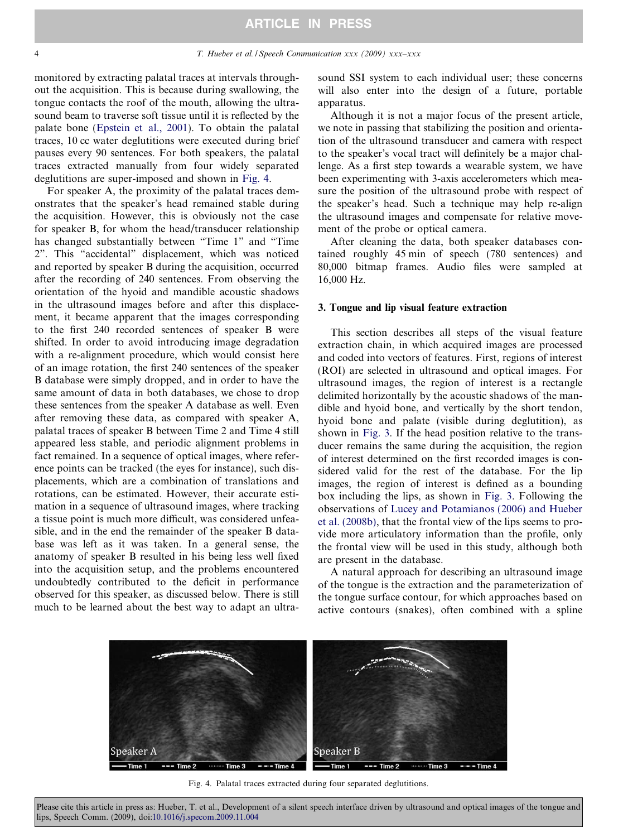<span id="page-3-0"></span>monitored by extracting palatal traces at intervals throughout the acquisition. This is because during swallowing, the tongue contacts the roof of the mouth, allowing the ultrasound beam to traverse soft tissue until it is reflected by the palate bone ([Epstein et al., 2001](#page-12-0)). To obtain the palatal traces, 10 cc water deglutitions were executed during brief pauses every 90 sentences. For both speakers, the palatal traces extracted manually from four widely separated deglutitions are super-imposed and shown in Fig. 4.

For speaker A, the proximity of the palatal traces demonstrates that the speaker's head remained stable during the acquisition. However, this is obviously not the case for speaker B, for whom the head/transducer relationship has changed substantially between "Time 1" and "Time 2". This "accidental" displacement, which was noticed and reported by speaker B during the acquisition, occurred after the recording of 240 sentences. From observing the orientation of the hyoid and mandible acoustic shadows in the ultrasound images before and after this displacement, it became apparent that the images corresponding to the first 240 recorded sentences of speaker B were shifted. In order to avoid introducing image degradation with a re-alignment procedure, which would consist here of an image rotation, the first 240 sentences of the speaker B database were simply dropped, and in order to have the same amount of data in both databases, we chose to drop these sentences from the speaker A database as well. Even after removing these data, as compared with speaker A, palatal traces of speaker B between Time 2 and Time 4 still appeared less stable, and periodic alignment problems in fact remained. In a sequence of optical images, where reference points can be tracked (the eyes for instance), such displacements, which are a combination of translations and rotations, can be estimated. However, their accurate estimation in a sequence of ultrasound images, where tracking a tissue point is much more difficult, was considered unfeasible, and in the end the remainder of the speaker B database was left as it was taken. In a general sense, the anatomy of speaker B resulted in his being less well fixed into the acquisition setup, and the problems encountered undoubtedly contributed to the deficit in performance observed for this speaker, as discussed below. There is still much to be learned about the best way to adapt an ultrasound SSI system to each individual user; these concerns will also enter into the design of a future, portable apparatus.

Although it is not a major focus of the present article, we note in passing that stabilizing the position and orientation of the ultrasound transducer and camera with respect to the speaker's vocal tract will definitely be a major challenge. As a first step towards a wearable system, we have been experimenting with 3-axis accelerometers which measure the position of the ultrasound probe with respect of the speaker's head. Such a technique may help re-align the ultrasound images and compensate for relative movement of the probe or optical camera.

After cleaning the data, both speaker databases contained roughly 45 min of speech (780 sentences) and 80,000 bitmap frames. Audio files were sampled at 16,000 Hz.

# 3. Tongue and lip visual feature extraction

This section describes all steps of the visual feature extraction chain, in which acquired images are processed and coded into vectors of features. First, regions of interest (ROI) are selected in ultrasound and optical images. For ultrasound images, the region of interest is a rectangle delimited horizontally by the acoustic shadows of the mandible and hyoid bone, and vertically by the short tendon, hyoid bone and palate (visible during deglutition), as shown in [Fig. 3.](#page-2-0) If the head position relative to the transducer remains the same during the acquisition, the region of interest determined on the first recorded images is considered valid for the rest of the database. For the lip images, the region of interest is defined as a bounding box including the lips, as shown in [Fig. 3.](#page-2-0) Following the observations of [Lucey and Potamianos \(2006\) and Hueber](#page-12-0) [et al. \(2008b\)](#page-12-0), that the frontal view of the lips seems to provide more articulatory information than the profile, only the frontal view will be used in this study, although both are present in the database.

A natural approach for describing an ultrasound image of the tongue is the extraction and the parameterization of the tongue surface contour, for which approaches based on active contours (snakes), often combined with a spline



Fig. 4. Palatal traces extracted during four separated deglutitions.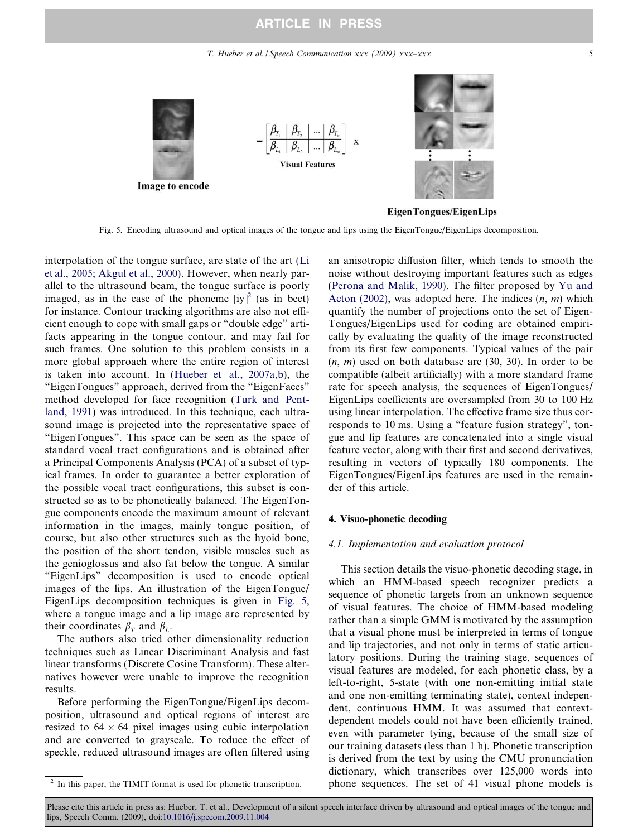# ARTICLE IN PRESS

T. Hueber et al. / Speech Communication xxx (2009) xxx–xxx 5



Fig. 5. Encoding ultrasound and optical images of the tongue and lips using the EigenTongue/EigenLips decomposition.

interpolation of the tongue surface, are state of the art [\(Li](#page-12-0) [et al., 2005; Akgul et al., 2000](#page-12-0)). However, when nearly parallel to the ultrasound beam, the tongue surface is poorly imaged, as in the case of the phoneme  $[iy]^2$  (as in beet) for instance. Contour tracking algorithms are also not efficient enough to cope with small gaps or "double edge" artifacts appearing in the tongue contour, and may fail for such frames. One solution to this problem consists in a more global approach where the entire region of interest is taken into account. In [\(Hueber et al., 2007a,b](#page-12-0)), the "EigenTongues" approach, derived from the "EigenFaces" method developed for face recognition ([Turk and Pent](#page-12-0)[land, 1991\)](#page-12-0) was introduced. In this technique, each ultrasound image is projected into the representative space of "EigenTongues". This space can be seen as the space of standard vocal tract configurations and is obtained after a Principal Components Analysis (PCA) of a subset of typical frames. In order to guarantee a better exploration of the possible vocal tract configurations, this subset is constructed so as to be phonetically balanced. The EigenTongue components encode the maximum amount of relevant information in the images, mainly tongue position, of course, but also other structures such as the hyoid bone, the position of the short tendon, visible muscles such as the genioglossus and also fat below the tongue. A similar "EigenLips" decomposition is used to encode optical images of the lips. An illustration of the EigenTongue/ EigenLips decomposition techniques is given in Fig. 5, where a tongue image and a lip image are represented by their coordinates  $\beta_T$  and  $\beta_L$ .

The authors also tried other dimensionality reduction techniques such as Linear Discriminant Analysis and fast linear transforms (Discrete Cosine Transform). These alternatives however were unable to improve the recognition results.

Before performing the EigenTongue/EigenLips decomposition, ultrasound and optical regions of interest are resized to  $64 \times 64$  pixel images using cubic interpolation and are converted to grayscale. To reduce the effect of speckle, reduced ultrasound images are often filtered using an anisotropic diffusion filter, which tends to smooth the noise without destroying important features such as edges ([Perona and Malik, 1990\)](#page-12-0). The filter proposed by [Yu and](#page-12-0) [Acton \(2002\),](#page-12-0) was adopted here. The indices  $(n, m)$  which quantify the number of projections onto the set of Eigen-Tongues/EigenLips used for coding are obtained empirically by evaluating the quality of the image reconstructed from its first few components. Typical values of the pair  $(n, m)$  used on both database are  $(30, 30)$ . In order to be compatible (albeit artificially) with a more standard frame rate for speech analysis, the sequences of EigenTongues/ EigenLips coefficients are oversampled from 30 to 100 Hz using linear interpolation. The effective frame size thus corresponds to 10 ms. Using a "feature fusion strategy", tongue and lip features are concatenated into a single visual feature vector, along with their first and second derivatives, resulting in vectors of typically 180 components. The EigenTongues/EigenLips features are used in the remainder of this article.

# 4. Visuo-phonetic decoding

# 4.1. Implementation and evaluation protocol

This section details the visuo-phonetic decoding stage, in which an HMM-based speech recognizer predicts a sequence of phonetic targets from an unknown sequence of visual features. The choice of HMM-based modeling rather than a simple GMM is motivated by the assumption that a visual phone must be interpreted in terms of tongue and lip trajectories, and not only in terms of static articulatory positions. During the training stage, sequences of visual features are modeled, for each phonetic class, by a left-to-right, 5-state (with one non-emitting initial state and one non-emitting terminating state), context independent, continuous HMM. It was assumed that contextdependent models could not have been efficiently trained, even with parameter tying, because of the small size of our training datasets (less than 1 h). Phonetic transcription is derived from the text by using the CMU pronunciation dictionary, which transcribes over 125,000 words into phone sequences. The set of 41 visual phone models is

In this paper, the TIMIT format is used for phonetic transcription.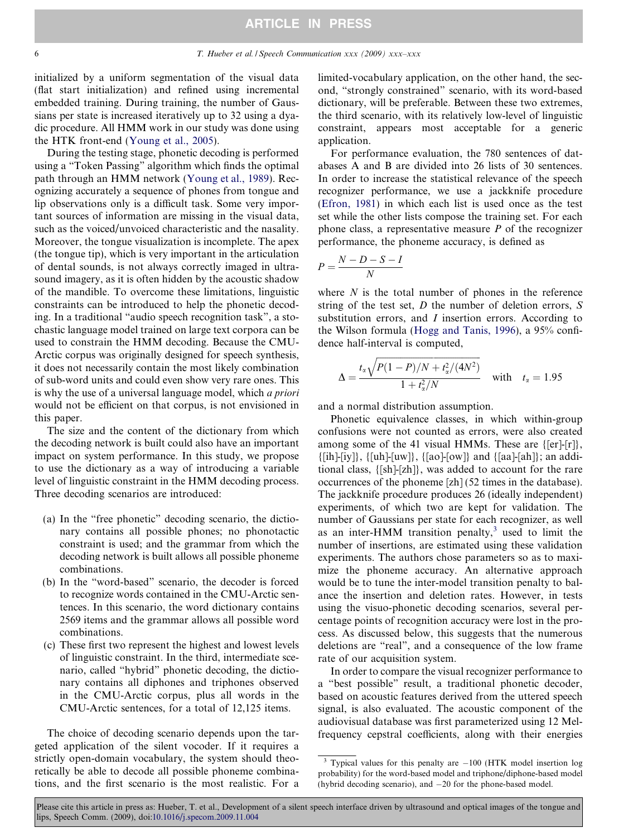initialized by a uniform segmentation of the visual data (flat start initialization) and refined using incremental embedded training. During training, the number of Gaussians per state is increased iteratively up to 32 using a dyadic procedure. All HMM work in our study was done using the HTK front-end ([Young et al., 2005](#page-12-0)).

During the testing stage, phonetic decoding is performed using a "Token Passing" algorithm which finds the optimal path through an HMM network [\(Young et al., 1989](#page-12-0)). Recognizing accurately a sequence of phones from tongue and lip observations only is a difficult task. Some very important sources of information are missing in the visual data, such as the voiced/unvoiced characteristic and the nasality. Moreover, the tongue visualization is incomplete. The apex (the tongue tip), which is very important in the articulation of dental sounds, is not always correctly imaged in ultrasound imagery, as it is often hidden by the acoustic shadow of the mandible. To overcome these limitations, linguistic constraints can be introduced to help the phonetic decoding. In a traditional "audio speech recognition task", a stochastic language model trained on large text corpora can be used to constrain the HMM decoding. Because the CMU-Arctic corpus was originally designed for speech synthesis, it does not necessarily contain the most likely combination of sub-word units and could even show very rare ones. This is why the use of a universal language model, which a priori would not be efficient on that corpus, is not envisioned in this paper.

The size and the content of the dictionary from which the decoding network is built could also have an important impact on system performance. In this study, we propose to use the dictionary as a way of introducing a variable level of linguistic constraint in the HMM decoding process. Three decoding scenarios are introduced:

- (a) In the "free phonetic" decoding scenario, the dictionary contains all possible phones; no phonotactic constraint is used; and the grammar from which the decoding network is built allows all possible phoneme combinations.
- (b) In the "word-based" scenario, the decoder is forced to recognize words contained in the CMU-Arctic sentences. In this scenario, the word dictionary contains 2569 items and the grammar allows all possible word combinations.
- (c) These first two represent the highest and lowest levels of linguistic constraint. In the third, intermediate scenario, called "hybrid" phonetic decoding, the dictionary contains all diphones and triphones observed in the CMU-Arctic corpus, plus all words in the CMU-Arctic sentences, for a total of 12,125 items.

The choice of decoding scenario depends upon the targeted application of the silent vocoder. If it requires a strictly open-domain vocabulary, the system should theoretically be able to decode all possible phoneme combinations, and the first scenario is the most realistic. For a

limited-vocabulary application, on the other hand, the second, "strongly constrained" scenario, with its word-based dictionary, will be preferable. Between these two extremes, the third scenario, with its relatively low-level of linguistic constraint, appears most acceptable for a generic application.

For performance evaluation, the 780 sentences of databases A and B are divided into 26 lists of 30 sentences. In order to increase the statistical relevance of the speech recognizer performance, we use a jackknife procedure [\(Efron, 1981](#page-12-0)) in which each list is used once as the test set while the other lists compose the training set. For each phone class, a representative measure  $P$  of the recognizer performance, the phoneme accuracy, is defined as

$$
P = \frac{N - D - S - I}{N}
$$

where  $N$  is the total number of phones in the reference string of the test set,  $D$  the number of deletion errors,  $S$ substitution errors, and I insertion errors. According to the Wilson formula ([Hogg and Tanis, 1996](#page-12-0)), a 95% confidence half-interval is computed,

$$
\Delta = \frac{t_{\alpha}\sqrt{P(1-P)/N + t_{\alpha}^2/(4N^2)}}{1 + t_{\alpha}^2/N}
$$
 with  $t_{\alpha} = 1.95$ 

and a normal distribution assumption.

Phonetic equivalence classes, in which within-group confusions were not counted as errors, were also created among some of the 41 visual HMMs. These are {[er]-[r]},  $\{|ih]-[iy]\}, \{|uh]-[uw]\}, \{|ao]-[ow]\}$  and  $\{|aa]-[ah]\}$ ; an additional class, {[sh]-[zh]}, was added to account for the rare occurrences of the phoneme [zh] (52 times in the database). The jackknife procedure produces 26 (ideally independent) experiments, of which two are kept for validation. The number of Gaussians per state for each recognizer, as well as an inter-HMM transition penalty, $3$  used to limit the number of insertions, are estimated using these validation experiments. The authors chose parameters so as to maximize the phoneme accuracy. An alternative approach would be to tune the inter-model transition penalty to balance the insertion and deletion rates. However, in tests using the visuo-phonetic decoding scenarios, several percentage points of recognition accuracy were lost in the process. As discussed below, this suggests that the numerous deletions are "real", and a consequence of the low frame rate of our acquisition system.

In order to compare the visual recognizer performance to a "best possible" result, a traditional phonetic decoder, based on acoustic features derived from the uttered speech signal, is also evaluated. The acoustic component of the audiovisual database was first parameterized using 12 Melfrequency cepstral coefficients, along with their energies

 $3$  Typical values for this penalty are  $-100$  (HTK model insertion log probability) for the word-based model and triphone/diphone-based model (hybrid decoding scenario), and  $-20$  for the phone-based model.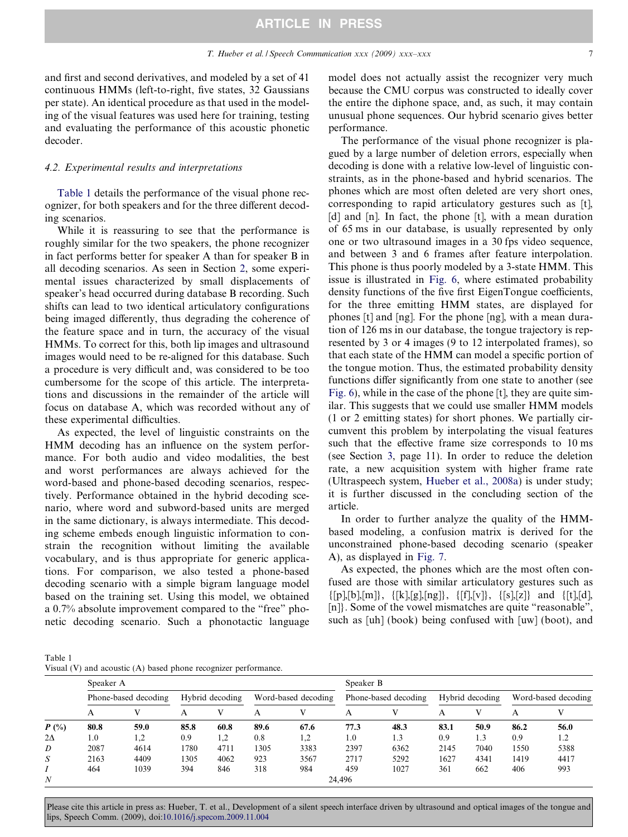and first and second derivatives, and modeled by a set of 41 continuous HMMs (left-to-right, five states, 32 Gaussians per state). An identical procedure as that used in the modeling of the visual features was used here for training, testing and evaluating the performance of this acoustic phonetic decoder.

#### 4.2. Experimental results and interpretations

Table 1 details the performance of the visual phone recognizer, for both speakers and for the three different decoding scenarios.

While it is reassuring to see that the performance is roughly similar for the two speakers, the phone recognizer in fact performs better for speaker A than for speaker B in all decoding scenarios. As seen in Section [2,](#page-2-0) some experimental issues characterized by small displacements of speaker's head occurred during database B recording. Such shifts can lead to two identical articulatory configurations being imaged differently, thus degrading the coherence of the feature space and in turn, the accuracy of the visual HMMs. To correct for this, both lip images and ultrasound images would need to be re-aligned for this database. Such a procedure is very difficult and, was considered to be too cumbersome for the scope of this article. The interpretations and discussions in the remainder of the article will focus on database A, which was recorded without any of these experimental difficulties.

As expected, the level of linguistic constraints on the HMM decoding has an influence on the system performance. For both audio and video modalities, the best and worst performances are always achieved for the word-based and phone-based decoding scenarios, respectively. Performance obtained in the hybrid decoding scenario, where word and subword-based units are merged in the same dictionary, is always intermediate. This decoding scheme embeds enough linguistic information to constrain the recognition without limiting the available vocabulary, and is thus appropriate for generic applications. For comparison, we also tested a phone-based decoding scenario with a simple bigram language model based on the training set. Using this model, we obtained a 0.7% absolute improvement compared to the "free" phonetic decoding scenario. Such a phonotactic language model does not actually assist the recognizer very much because the CMU corpus was constructed to ideally cover the entire the diphone space, and, as such, it may contain unusual phone sequences. Our hybrid scenario gives better performance.

The performance of the visual phone recognizer is plagued by a large number of deletion errors, especially when decoding is done with a relative low-level of linguistic constraints, as in the phone-based and hybrid scenarios. The phones which are most often deleted are very short ones, corresponding to rapid articulatory gestures such as [t], [d] and [n]. In fact, the phone [t], with a mean duration of 65 ms in our database, is usually represented by only one or two ultrasound images in a 30 fps video sequence, and between 3 and 6 frames after feature interpolation. This phone is thus poorly modeled by a 3-state HMM. This issue is illustrated in [Fig. 6](#page-7-0), where estimated probability density functions of the five first EigenTongue coefficients, for the three emitting HMM states, are displayed for phones [t] and [ng]. For the phone [ng], with a mean duration of 126 ms in our database, the tongue trajectory is represented by 3 or 4 images (9 to 12 interpolated frames), so that each state of the HMM can model a specific portion of the tongue motion. Thus, the estimated probability density functions differ significantly from one state to another (see [Fig. 6\)](#page-7-0), while in the case of the phone [t], they are quite similar. This suggests that we could use smaller HMM models (1 or 2 emitting states) for short phones. We partially circumvent this problem by interpolating the visual features such that the effective frame size corresponds to 10 ms (see Section [3](#page-3-0), page 11). In order to reduce the deletion rate, a new acquisition system with higher frame rate (Ultraspeech system, [Hueber et al., 2008a\)](#page-12-0) is under study; it is further discussed in the concluding section of the article.

In order to further analyze the quality of the HMMbased modeling, a confusion matrix is derived for the unconstrained phone-based decoding scenario (speaker A), as displayed in [Fig. 7](#page-8-0).

As expected, the phones which are the most often confused are those with similar articulatory gestures such as  $\{[p],[b],[m]\}, \{[k],[g],[ng]\}, \{[f],[v]\}, \{[s],[z]\} \text{ and } \{[t],[d]\}$ [n]. Some of the vowel mismatches are quite "reasonable", such as [uh] (book) being confused with [uw] (boot), and

Table 1 Visual (V) and acoustic (A) based phone recognizer performance.

|               | Speaker A            |              |                 |      |                     |      | Speaker B            |      |                 |      |                     |      |
|---------------|----------------------|--------------|-----------------|------|---------------------|------|----------------------|------|-----------------|------|---------------------|------|
|               | Phone-based decoding |              | Hybrid decoding |      | Word-based decoding |      | Phone-based decoding |      | Hybrid decoding |      | Word-based decoding |      |
|               | A                    | $\mathbf{V}$ |                 |      | A                   |      | Α                    |      |                 | V    |                     |      |
| $P(^{0}_{0})$ | 80.8                 | 59.0         | 85.8            | 60.8 | 89.6                | 67.6 | 77.3                 | 48.3 | 83.1            | 50.9 | 86.2                | 56.0 |
| $2\Delta$     | 1.0                  | 1.2          | 0.9             | 1,2  | 0.8                 | 1,2  | 1.0                  | 1.3  | 0.9             | 1.3  | 0.9                 |      |
| D             | 2087                 | 4614         | 1780            | 4711 | 1305                | 3383 | 2397                 | 6362 | 2145            | 7040 | 1550                | 5388 |
| S             | 2163                 | 4409         | 1305            | 4062 | 923                 | 3567 | 2717                 | 5292 | 1627            | 4341 | 1419                | 4417 |
|               | 464                  | 1039         | 394             | 846  | 318                 | 984  | 459                  | 1027 | 361             | 662  | 406                 | 993  |
| N             |                      | 24.496       |                 |      |                     |      |                      |      |                 |      |                     |      |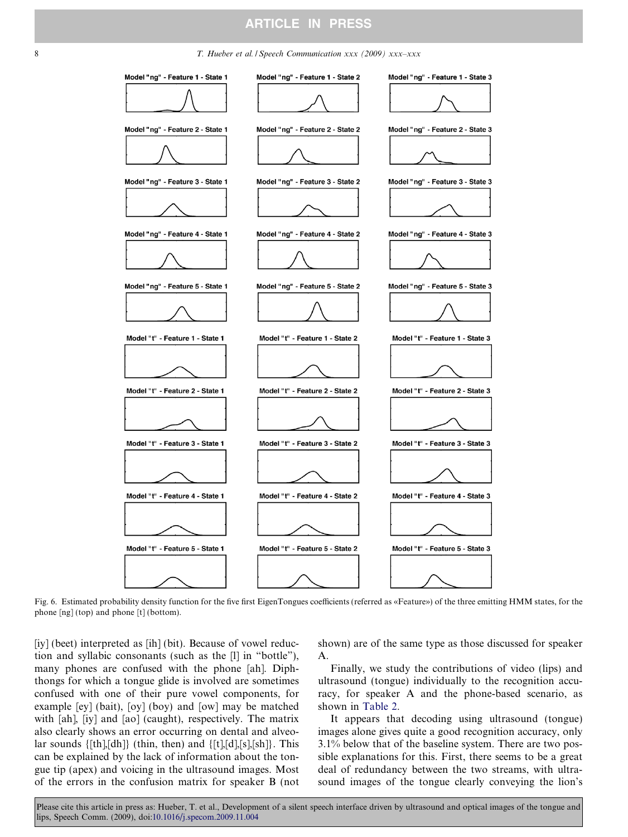#### <span id="page-7-0"></span>8 T. Hueber et al. *I* Speech Communication xxx (2009) xxx-xxx



Fig. 6. Estimated probability density function for the five first EigenTongues coefficients (referred as «Feature») of the three emitting HMM states, for the phone [ng] (top) and phone [t] (bottom).

[iy] (beet) interpreted as [ih] (bit). Because of vowel reduction and syllabic consonants (such as the [l] in "bottle"), many phones are confused with the phone [ah]. Diphthongs for which a tongue glide is involved are sometimes confused with one of their pure vowel components, for example [ey] (bait), [oy] (boy) and [ow] may be matched with [ah], [iy] and [ao] (caught), respectively. The matrix also clearly shows an error occurring on dental and alveolar sounds  $\{[\text{th}], [\text{dh}]\}$  (thin, then) and  $\{[\text{t}], [\text{d}], [\text{s}], [\text{sh}]\}$ . This can be explained by the lack of information about the tongue tip (apex) and voicing in the ultrasound images. Most of the errors in the confusion matrix for speaker B (not shown) are of the same type as those discussed for speaker A.

Finally, we study the contributions of video (lips) and ultrasound (tongue) individually to the recognition accuracy, for speaker A and the phone-based scenario, as shown in [Table 2.](#page-8-0)

It appears that decoding using ultrasound (tongue) images alone gives quite a good recognition accuracy, only 3.1% below that of the baseline system. There are two possible explanations for this. First, there seems to be a great deal of redundancy between the two streams, with ultrasound images of the tongue clearly conveying the lion's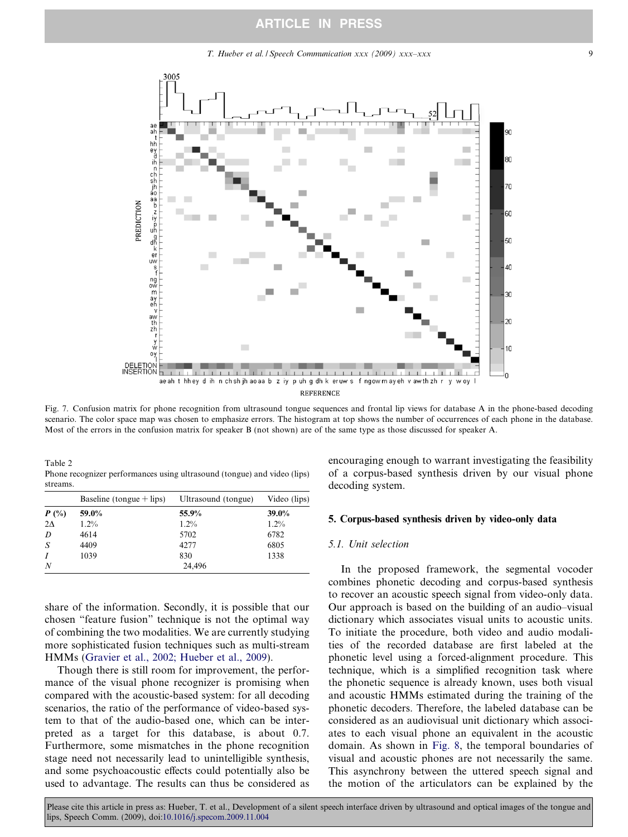<span id="page-8-0"></span>

Fig. 7. Confusion matrix for phone recognition from ultrasound tongue sequences and frontal lip views for database A in the phone-based decoding scenario. The color space map was chosen to emphasize errors. The histogram at top shows the number of occurrences of each phone in the database. Most of the errors in the confusion matrix for speaker B (not shown) are of the same type as those discussed for speaker A.

Table 2 Phone recognizer performances using ultrasound (tongue) and video (lips) streams.

|                  | Baseline (tongue $+$ lips) | Ultrasound (tongue) | Video (lips) |
|------------------|----------------------------|---------------------|--------------|
| $P(\%)$          | 59.0%                      | 55.9%               | 39.0%        |
| $2\Delta$        | $1.2\%$                    | $1.2\%$             | $1.2\%$      |
| D                | 4614                       | 5702                | 6782         |
| S                | 4409                       | 4277                | 6805         |
| I                | 1039                       | 830                 | 1338         |
| $\boldsymbol{N}$ |                            | 24,496              |              |

share of the information. Secondly, it is possible that our chosen "feature fusion" technique is not the optimal way of combining the two modalities. We are currently studying more sophisticated fusion techniques such as multi-stream HMMs ([Gravier et al., 2002; Hueber et al., 2009](#page-12-0)).

Though there is still room for improvement, the performance of the visual phone recognizer is promising when compared with the acoustic-based system: for all decoding scenarios, the ratio of the performance of video-based system to that of the audio-based one, which can be interpreted as a target for this database, is about 0.7. Furthermore, some mismatches in the phone recognition stage need not necessarily lead to unintelligible synthesis, and some psychoacoustic effects could potentially also be used to advantage. The results can thus be considered as encouraging enough to warrant investigating the feasibility of a corpus-based synthesis driven by our visual phone decoding system.

#### 5. Corpus-based synthesis driven by video-only data

# 5.1. Unit selection

In the proposed framework, the segmental vocoder combines phonetic decoding and corpus-based synthesis to recover an acoustic speech signal from video-only data. Our approach is based on the building of an audio–visual dictionary which associates visual units to acoustic units. To initiate the procedure, both video and audio modalities of the recorded database are first labeled at the phonetic level using a forced-alignment procedure. This technique, which is a simplified recognition task where the phonetic sequence is already known, uses both visual and acoustic HMMs estimated during the training of the phonetic decoders. Therefore, the labeled database can be considered as an audiovisual unit dictionary which associates to each visual phone an equivalent in the acoustic domain. As shown in [Fig. 8](#page-9-0), the temporal boundaries of visual and acoustic phones are not necessarily the same. This asynchrony between the uttered speech signal and the motion of the articulators can be explained by the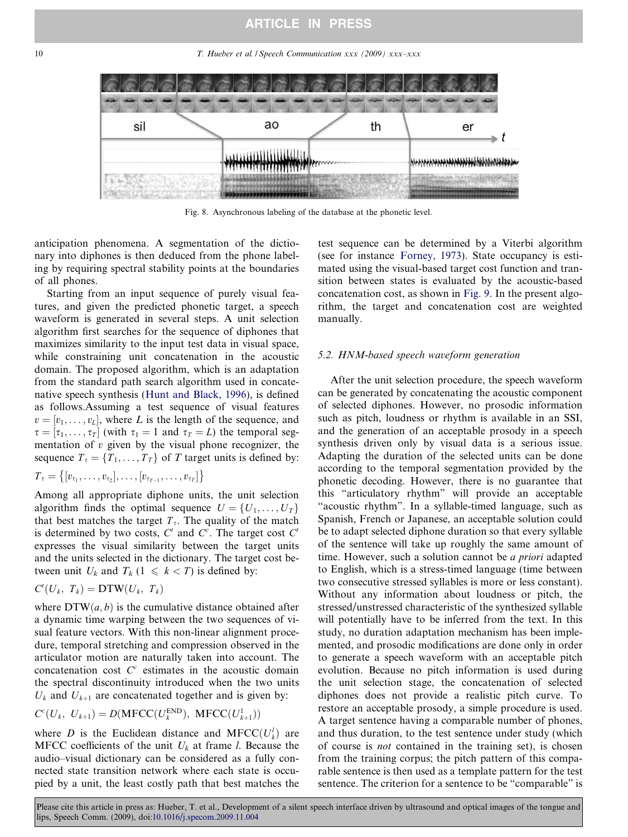<span id="page-9-0"></span>10 10 T. Hueber et al. / Speech Communication xxx (2009) xxx–xxx



Fig. 8. Asynchronous labeling of the database at the phonetic level.

anticipation phenomena. A segmentation of the dictionary into diphones is then deduced from the phone labeling by requiring spectral stability points at the boundaries of all phones.

Starting from an input sequence of purely visual features, and given the predicted phonetic target, a speech waveform is generated in several steps. A unit selection algorithm first searches for the sequence of diphones that maximizes similarity to the input test data in visual space, while constraining unit concatenation in the acoustic domain. The proposed algorithm, which is an adaptation from the standard path search algorithm used in concatenative speech synthesis ([Hunt and Black, 1996\)](#page-12-0), is defined as follows.Assuming a test sequence of visual features  $v = [v_1, \ldots, v_L]$ , where L is the length of the sequence, and  $\tau = [\tau_1, \ldots, \tau_T]$  (with  $\tau_1 = 1$  and  $\tau_T = L$ ) the temporal segmentation of  $v$  given by the visual phone recognizer, the sequence  $T_{\tau} = \{T_1, \ldots, T_T\}$  of T target units is defined by:

$$
T_{\tau} = \big\{ [v_{\tau_1}, \ldots, v_{\tau_2}], \ldots, [v_{\tau_{T-1}}, \ldots, v_{\tau_T}] \big\}
$$

Among all appropriate diphone units, the unit selection algorithm finds the optimal sequence  $U = \{U_1, \ldots, U_T\}$ that best matches the target  $T_{\tau}$ . The quality of the match is determined by two costs,  $C<sup>t</sup>$  and  $C<sup>c</sup>$ . The target cost  $C<sup>t</sup>$ expresses the visual similarity between the target units and the units selected in the dictionary. The target cost between unit  $U_k$  and  $T_k$  ( $1 \le k < T$ ) is defined by:

$$
C^t(U_k, T_k) = \mathbf{DTW}(U_k, T_k)
$$

where  $DTW(a, b)$  is the cumulative distance obtained after a dynamic time warping between the two sequences of visual feature vectors. With this non-linear alignment procedure, temporal stretching and compression observed in the articulator motion are naturally taken into account. The concatenation cost  $C<sup>c</sup>$  estimates in the acoustic domain the spectral discontinuity introduced when the two units  $U_k$  and  $U_{k+1}$  are concatenated together and is given by:

$$
C^{c}(U_{k}, U_{k+1}) = D(MFCC(U_{k}^{END}), MFCC(U_{k+1}^{1}))
$$

where D is the Euclidean distance and MFCC $(U_k^l)$  are MFCC coefficients of the unit  $U_k$  at frame l. Because the audio–visual dictionary can be considered as a fully connected state transition network where each state is occupied by a unit, the least costly path that best matches the test sequence can be determined by a Viterbi algorithm (see for instance [Forney, 1973\)](#page-12-0). State occupancy is estimated using the visual-based target cost function and transition between states is evaluated by the acoustic-based concatenation cost, as shown in [Fig. 9](#page-10-0). In the present algorithm, the target and concatenation cost are weighted manually.

## 5.2. HNM-based speech waveform generation

After the unit selection procedure, the speech waveform can be generated by concatenating the acoustic component of selected diphones. However, no prosodic information such as pitch, loudness or rhythm is available in an SSI, and the generation of an acceptable prosody in a speech synthesis driven only by visual data is a serious issue. Adapting the duration of the selected units can be done according to the temporal segmentation provided by the phonetic decoding. However, there is no guarantee that this "articulatory rhythm" will provide an acceptable "acoustic rhythm". In a syllable-timed language, such as Spanish, French or Japanese, an acceptable solution could be to adapt selected diphone duration so that every syllable of the sentence will take up roughly the same amount of time. However, such a solution cannot be *a priori* adapted to English, which is a stress-timed language (time between two consecutive stressed syllables is more or less constant). Without any information about loudness or pitch, the stressed/unstressed characteristic of the synthesized syllable will potentially have to be inferred from the text. In this study, no duration adaptation mechanism has been implemented, and prosodic modifications are done only in order to generate a speech waveform with an acceptable pitch evolution. Because no pitch information is used during the unit selection stage, the concatenation of selected diphones does not provide a realistic pitch curve. To restore an acceptable prosody, a simple procedure is used. A target sentence having a comparable number of phones, and thus duration, to the test sentence under study (which of course is not contained in the training set), is chosen from the training corpus; the pitch pattern of this comparable sentence is then used as a template pattern for the test sentence. The criterion for a sentence to be "comparable" is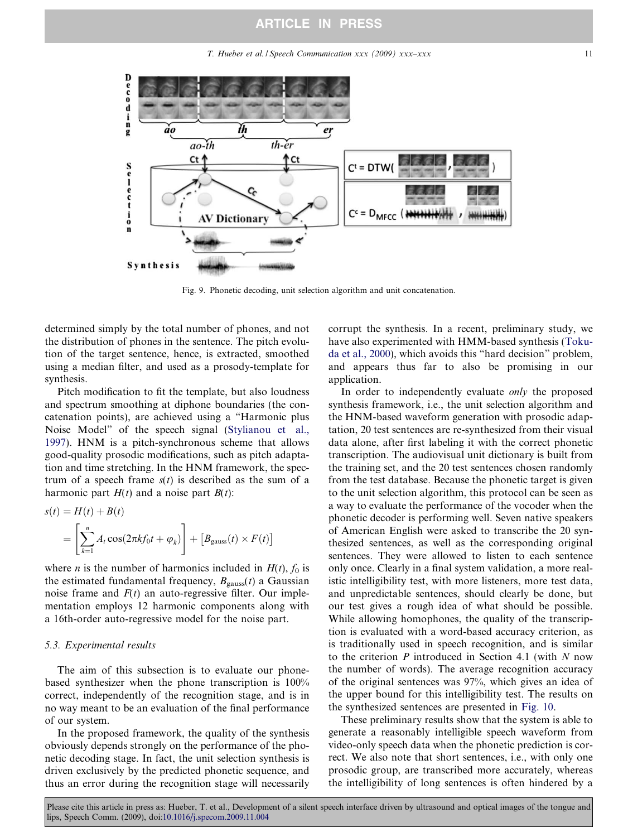T. Hueber et al. / Speech Communication xxx (2009) xxx–xxx 11

<span id="page-10-0"></span>

Fig. 9. Phonetic decoding, unit selection algorithm and unit concatenation.

determined simply by the total number of phones, and not the distribution of phones in the sentence. The pitch evolution of the target sentence, hence, is extracted, smoothed using a median filter, and used as a prosody-template for synthesis.

Pitch modification to fit the template, but also loudness and spectrum smoothing at diphone boundaries (the concatenation points), are achieved using a "Harmonic plus Noise Model" of the speech signal [\(Stylianou et al.,](#page-12-0) [1997](#page-12-0)). HNM is a pitch-synchronous scheme that allows good-quality prosodic modifications, such as pitch adaptation and time stretching. In the HNM framework, the spectrum of a speech frame  $s(t)$  is described as the sum of a harmonic part  $H(t)$  and a noise part  $B(t)$ :

$$
s(t) = H(t) + B(t)
$$
  
= 
$$
\left[\sum_{k=1}^{n} A_t \cos(2\pi k f_0 t + \varphi_k)\right] + \left[B_{\text{gauss}}(t) \times F(t)\right]
$$

where *n* is the number of harmonics included in  $H(t)$ ,  $f_0$  is the estimated fundamental frequency,  $B_{\text{gauss}}(t)$  a Gaussian noise frame and  $F(t)$  an auto-regressive filter. Our implementation employs 12 harmonic components along with a 16th-order auto-regressive model for the noise part.

# 5.3. Experimental results

The aim of this subsection is to evaluate our phonebased synthesizer when the phone transcription is 100% correct, independently of the recognition stage, and is in no way meant to be an evaluation of the final performance of our system.

In the proposed framework, the quality of the synthesis obviously depends strongly on the performance of the phonetic decoding stage. In fact, the unit selection synthesis is driven exclusively by the predicted phonetic sequence, and thus an error during the recognition stage will necessarily corrupt the synthesis. In a recent, preliminary study, we have also experimented with HMM-based synthesis [\(Toku](#page-12-0)[da et al., 2000](#page-12-0)), which avoids this "hard decision" problem, and appears thus far to also be promising in our application.

In order to independently evaluate *only* the proposed synthesis framework, i.e., the unit selection algorithm and the HNM-based waveform generation with prosodic adaptation, 20 test sentences are re-synthesized from their visual data alone, after first labeling it with the correct phonetic transcription. The audiovisual unit dictionary is built from the training set, and the 20 test sentences chosen randomly from the test database. Because the phonetic target is given to the unit selection algorithm, this protocol can be seen as a way to evaluate the performance of the vocoder when the phonetic decoder is performing well. Seven native speakers of American English were asked to transcribe the 20 synthesized sentences, as well as the corresponding original sentences. They were allowed to listen to each sentence only once. Clearly in a final system validation, a more realistic intelligibility test, with more listeners, more test data, and unpredictable sentences, should clearly be done, but our test gives a rough idea of what should be possible. While allowing homophones, the quality of the transcription is evaluated with a word-based accuracy criterion, as is traditionally used in speech recognition, and is similar to the criterion  $P$  introduced in Section 4.1 (with  $N$  now the number of words). The average recognition accuracy of the original sentences was 97%, which gives an idea of the upper bound for this intelligibility test. The results on the synthesized sentences are presented in [Fig. 10.](#page-11-0)

These preliminary results show that the system is able to generate a reasonably intelligible speech waveform from video-only speech data when the phonetic prediction is correct. We also note that short sentences, i.e., with only one prosodic group, are transcribed more accurately, whereas the intelligibility of long sentences is often hindered by a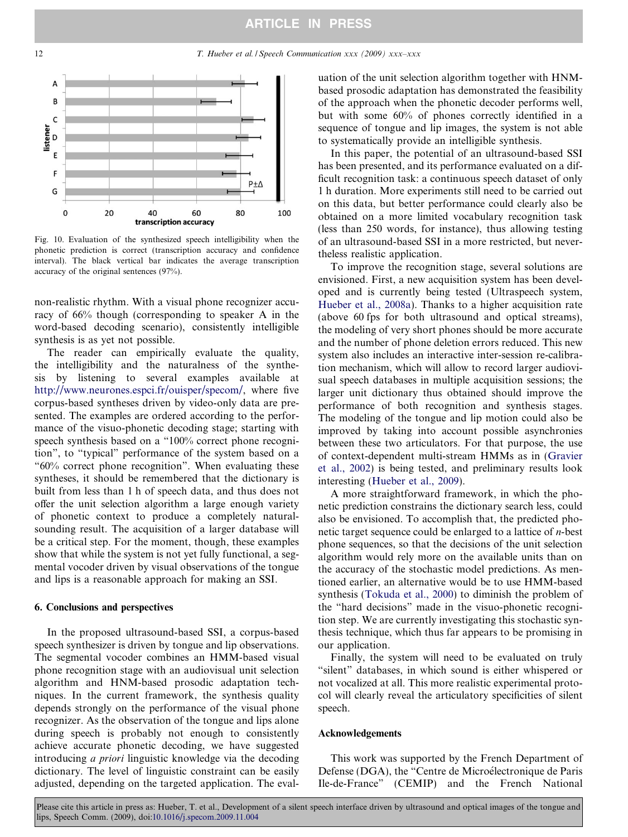<span id="page-11-0"></span>

Fig. 10. Evaluation of the synthesized speech intelligibility when the phonetic prediction is correct (transcription accuracy and confidence interval). The black vertical bar indicates the average transcription accuracy of the original sentences (97%).

non-realistic rhythm. With a visual phone recognizer accuracy of 66% though (corresponding to speaker A in the word-based decoding scenario), consistently intelligible synthesis is as yet not possible.

The reader can empirically evaluate the quality, the intelligibility and the naturalness of the synthesis by listening to several examples available at <http://www.neurones.espci.fr/ouisper/specom/>, where five corpus-based syntheses driven by video-only data are presented. The examples are ordered according to the performance of the visuo-phonetic decoding stage; starting with speech synthesis based on a "100% correct phone recognition", to "typical" performance of the system based on a "60% correct phone recognition". When evaluating these syntheses, it should be remembered that the dictionary is built from less than 1 h of speech data, and thus does not offer the unit selection algorithm a large enough variety of phonetic context to produce a completely naturalsounding result. The acquisition of a larger database will be a critical step. For the moment, though, these examples show that while the system is not yet fully functional, a segmental vocoder driven by visual observations of the tongue and lips is a reasonable approach for making an SSI.

#### 6. Conclusions and perspectives

In the proposed ultrasound-based SSI, a corpus-based speech synthesizer is driven by tongue and lip observations. The segmental vocoder combines an HMM-based visual phone recognition stage with an audiovisual unit selection algorithm and HNM-based prosodic adaptation techniques. In the current framework, the synthesis quality depends strongly on the performance of the visual phone recognizer. As the observation of the tongue and lips alone during speech is probably not enough to consistently achieve accurate phonetic decoding, we have suggested introducing a priori linguistic knowledge via the decoding dictionary. The level of linguistic constraint can be easily adjusted, depending on the targeted application. The evaluation of the unit selection algorithm together with HNMbased prosodic adaptation has demonstrated the feasibility of the approach when the phonetic decoder performs well, but with some 60% of phones correctly identified in a sequence of tongue and lip images, the system is not able to systematically provide an intelligible synthesis.

In this paper, the potential of an ultrasound-based SSI has been presented, and its performance evaluated on a difficult recognition task: a continuous speech dataset of only 1 h duration. More experiments still need to be carried out on this data, but better performance could clearly also be obtained on a more limited vocabulary recognition task (less than 250 words, for instance), thus allowing testing of an ultrasound-based SSI in a more restricted, but nevertheless realistic application.

To improve the recognition stage, several solutions are envisioned. First, a new acquisition system has been developed and is currently being tested (Ultraspeech system, [Hueber et al., 2008a\)](#page-12-0). Thanks to a higher acquisition rate (above 60 fps for both ultrasound and optical streams), the modeling of very short phones should be more accurate and the number of phone deletion errors reduced. This new system also includes an interactive inter-session re-calibration mechanism, which will allow to record larger audiovisual speech databases in multiple acquisition sessions; the larger unit dictionary thus obtained should improve the performance of both recognition and synthesis stages. The modeling of the tongue and lip motion could also be improved by taking into account possible asynchronies between these two articulators. For that purpose, the use of context-dependent multi-stream HMMs as in ([Gravier](#page-12-0) [et al., 2002](#page-12-0)) is being tested, and preliminary results look interesting ([Hueber et al., 2009](#page-12-0)).

A more straightforward framework, in which the phonetic prediction constrains the dictionary search less, could also be envisioned. To accomplish that, the predicted phonetic target sequence could be enlarged to a lattice of  $n$ -best phone sequences, so that the decisions of the unit selection algorithm would rely more on the available units than on the accuracy of the stochastic model predictions. As mentioned earlier, an alternative would be to use HMM-based synthesis [\(Tokuda et al., 2000](#page-12-0)) to diminish the problem of the "hard decisions" made in the visuo-phonetic recognition step. We are currently investigating this stochastic synthesis technique, which thus far appears to be promising in our application.

Finally, the system will need to be evaluated on truly "silent" databases, in which sound is either whispered or not vocalized at all. This more realistic experimental protocol will clearly reveal the articulatory specificities of silent speech.

#### Acknowledgements

This work was supported by the French Department of Defense (DGA), the "Centre de Microélectronique de Paris Ile-de-France" (CEMIP) and the French National